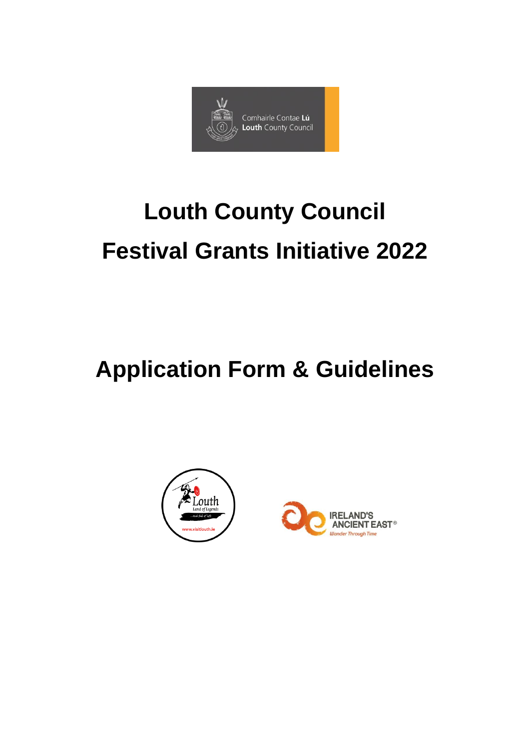

# **Louth County Council Festival Grants Initiative 2022**

# **Application Form & Guidelines**

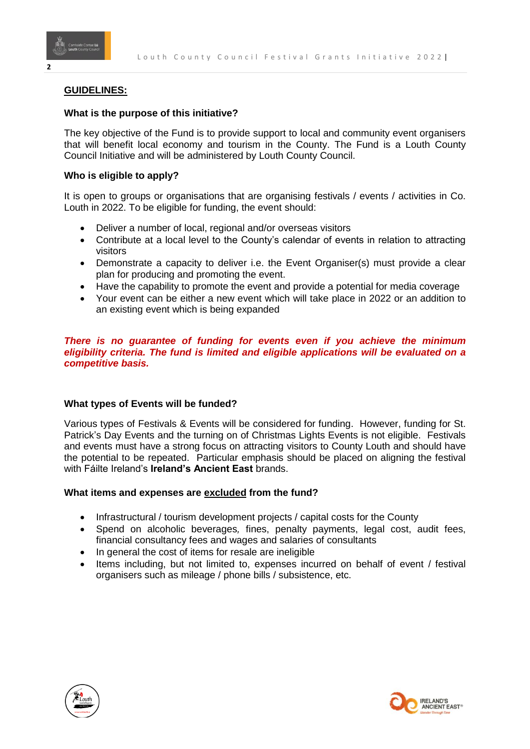

# **GUIDELINES:**

# **What is the purpose of this initiative?**

The key objective of the Fund is to provide support to local and community event organisers that will benefit local economy and tourism in the County. The Fund is a Louth County Council Initiative and will be administered by Louth County Council.

# **Who is eligible to apply?**

It is open to groups or organisations that are organising festivals / events / activities in Co. Louth in 2022. To be eligible for funding, the event should:

- Deliver a number of local, regional and/or overseas visitors
- Contribute at a local level to the County's calendar of events in relation to attracting visitors
- Demonstrate a capacity to deliver i.e. the Event Organiser(s) must provide a clear plan for producing and promoting the event.
- Have the capability to promote the event and provide a potential for media coverage
- Your event can be either a new event which will take place in 2022 or an addition to an existing event which is being expanded

# *There is no guarantee of funding for events even if you achieve the minimum eligibility criteria. The fund is limited and eligible applications will be evaluated on a competitive basis.*

# **What types of Events will be funded?**

Various types of Festivals & Events will be considered for funding. However, funding for St. Patrick's Day Events and the turning on of Christmas Lights Events is not eligible. Festivals and events must have a strong focus on attracting visitors to County Louth and should have the potential to be repeated. Particular emphasis should be placed on aligning the festival with Fáilte Ireland's **Ireland's Ancient East** brands.

# **What items and expenses are excluded from the fund?**

- Infrastructural / tourism development projects / capital costs for the County
- Spend on alcoholic beverages*,* fines, penalty payments, legal cost, audit fees, financial consultancy fees and wages and salaries of consultants
- In general the cost of items for resale are ineligible
- Items including, but not limited to, expenses incurred on behalf of event / festival organisers such as mileage / phone bills / subsistence, etc.



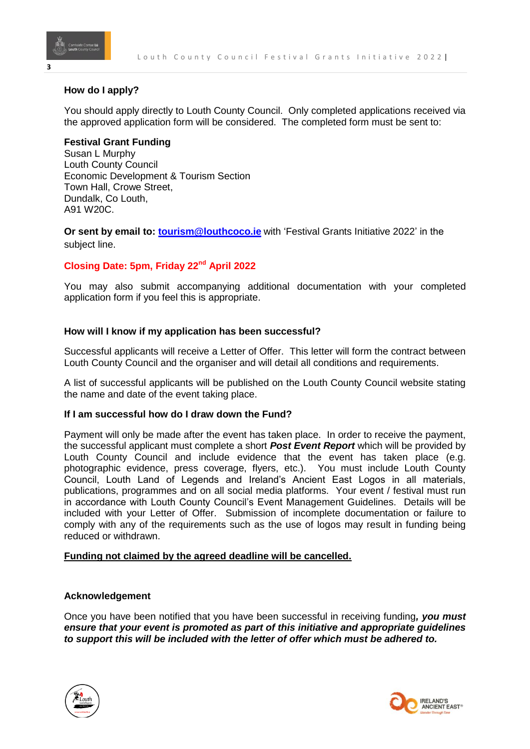

# **How do I apply?**

You should apply directly to Louth County Council. Only completed applications received via the approved application form will be considered. The completed form must be sent to:

# **Festival Grant Funding**

Susan L Murphy Louth County Council Economic Development & Tourism Section Town Hall, Crowe Street, Dundalk, Co Louth, A91 W20C.

**Or sent by email to: [tourism@louthcoco.ie](mailto:tourism@louthcoco.ie)** with 'Festival Grants Initiative 2022' in the subject line.

# **Closing Date: 5pm, Friday 22nd April 2022**

You may also submit accompanying additional documentation with your completed application form if you feel this is appropriate.

# **How will I know if my application has been successful?**

Successful applicants will receive a Letter of Offer. This letter will form the contract between Louth County Council and the organiser and will detail all conditions and requirements.

A list of successful applicants will be published on the Louth County Council website stating the name and date of the event taking place.

# **If I am successful how do I draw down the Fund?**

Payment will only be made after the event has taken place. In order to receive the payment, the successful applicant must complete a short *Post Event Report* which will be provided by Louth County Council and include evidence that the event has taken place (e.g. photographic evidence, press coverage, flyers, etc.). You must include Louth County Council, Louth Land of Legends and Ireland's Ancient East Logos in all materials, publications, programmes and on all social media platforms. Your event / festival must run in accordance with Louth County Council's Event Management Guidelines. Details will be included with your Letter of Offer. Submission of incomplete documentation or failure to comply with any of the requirements such as the use of logos may result in funding being reduced or withdrawn.

# **Funding not claimed by the agreed deadline will be cancelled.**

# **Acknowledgement**

Once you have been notified that you have been successful in receiving funding*, you must ensure that your event is promoted as part of this initiative and appropriate guidelines to support this will be included with the letter of offer which must be adhered to.*





**3**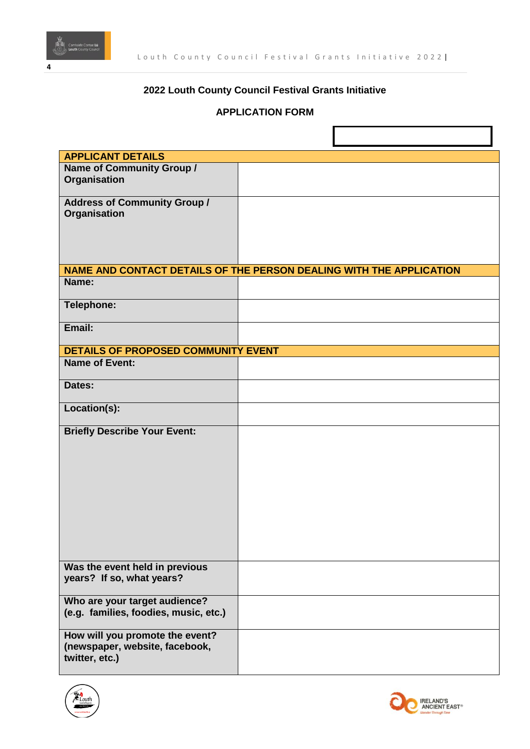

# **2022 Louth County Council Festival Grants Initiative**

# **APPLICATION FORM**

| <b>APPLICANT DETAILS</b>                   |                                                                     |
|--------------------------------------------|---------------------------------------------------------------------|
| <b>Name of Community Group /</b>           |                                                                     |
| Organisation                               |                                                                     |
|                                            |                                                                     |
| <b>Address of Community Group /</b>        |                                                                     |
| Organisation                               |                                                                     |
|                                            |                                                                     |
|                                            |                                                                     |
|                                            |                                                                     |
|                                            | NAME AND CONTACT DETAILS OF THE PERSON DEALING WITH THE APPLICATION |
| Name:                                      |                                                                     |
|                                            |                                                                     |
| <b>Telephone:</b>                          |                                                                     |
|                                            |                                                                     |
| Email:                                     |                                                                     |
|                                            |                                                                     |
| <b>DETAILS OF PROPOSED COMMUNITY EVENT</b> |                                                                     |
| <b>Name of Event:</b>                      |                                                                     |
|                                            |                                                                     |
| Dates:                                     |                                                                     |
| Location(s):                               |                                                                     |
|                                            |                                                                     |
| <b>Briefly Describe Your Event:</b>        |                                                                     |
|                                            |                                                                     |
|                                            |                                                                     |
|                                            |                                                                     |
|                                            |                                                                     |
|                                            |                                                                     |
|                                            |                                                                     |
|                                            |                                                                     |
|                                            |                                                                     |
|                                            |                                                                     |
|                                            |                                                                     |
| Was the event held in previous             |                                                                     |
| years? If so, what years?                  |                                                                     |
| Who are your target audience?              |                                                                     |
| (e.g. families, foodies, music, etc.)      |                                                                     |
|                                            |                                                                     |
| How will you promote the event?            |                                                                     |
| (newspaper, website, facebook,             |                                                                     |
| twitter, etc.)                             |                                                                     |
|                                            |                                                                     |



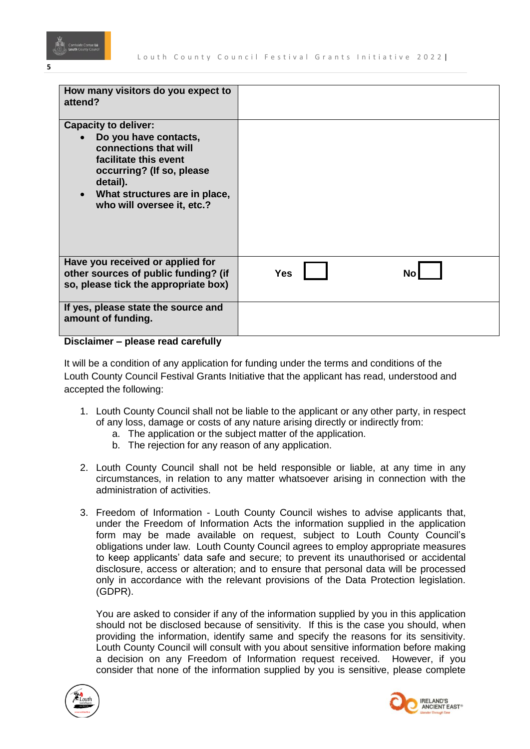

| How many visitors do you expect to<br>attend?                                                                                                                                                                               |            |     |
|-----------------------------------------------------------------------------------------------------------------------------------------------------------------------------------------------------------------------------|------------|-----|
| <b>Capacity to deliver:</b><br>Do you have contacts,<br>connections that will<br>facilitate this event<br>occurring? (If so, please<br>detail).<br>What structures are in place,<br>$\bullet$<br>who will oversee it, etc.? |            |     |
| Have you received or applied for<br>other sources of public funding? (if<br>so, please tick the appropriate box)                                                                                                            | <b>Yes</b> | No. |
| If yes, please state the source and<br>amount of funding.                                                                                                                                                                   |            |     |

# **Disclaimer – please read carefully**

It will be a condition of any application for funding under the terms and conditions of the Louth County Council Festival Grants Initiative that the applicant has read, understood and accepted the following:

- 1. Louth County Council shall not be liable to the applicant or any other party, in respect of any loss, damage or costs of any nature arising directly or indirectly from:
	- a. The application or the subject matter of the application.
	- b. The rejection for any reason of any application.
- 2. Louth County Council shall not be held responsible or liable, at any time in any circumstances, in relation to any matter whatsoever arising in connection with the administration of activities.
- 3. Freedom of Information Louth County Council wishes to advise applicants that, under the Freedom of Information Acts the information supplied in the application form may be made available on request, subject to Louth County Council's obligations under law. Louth County Council agrees to employ appropriate measures to keep applicants' data safe and secure; to prevent its unauthorised or accidental disclosure, access or alteration; and to ensure that personal data will be processed only in accordance with the relevant provisions of the Data Protection legislation. (GDPR).

You are asked to consider if any of the information supplied by you in this application should not be disclosed because of sensitivity. If this is the case you should, when providing the information, identify same and specify the reasons for its sensitivity. Louth County Council will consult with you about sensitive information before making a decision on any Freedom of Information request received. However, if you consider that none of the information supplied by you is sensitive, please complete